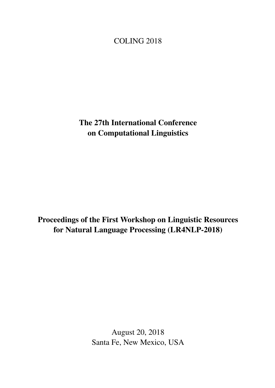# <span id="page-0-0"></span>COLING 2018

The 27th International Conference on Computational Linguistics

Proceedings of the First Workshop on Linguistic Resources for Natural Language Processing (LR4NLP-2018)

> August 20, 2018 Santa Fe, New Mexico, USA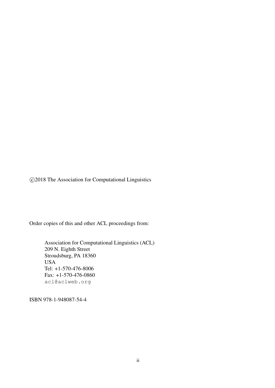c 2018 The Association for Computational Linguistics

Order copies of this and other ACL proceedings from:

Association for Computational Linguistics (ACL) 209 N. Eighth Street Stroudsburg, PA 18360 USA Tel: +1-570-476-8006 Fax: +1-570-476-0860 acl@aclweb.org

ISBN 978-1-948087-54-4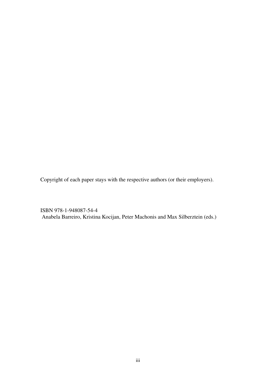Copyright of each paper stays with the respective authors (or their employers).

ISBN 978-1-948087-54-4 Anabela Barreiro, Kristina Kocijan, Peter Machonis and Max Silberztein (eds.)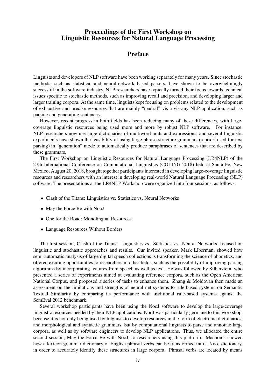### Proceedings of the First Workshop on Linguistic Resources for Natural Language Processing

## Preface

Linguists and developers of NLP software have been working separately for many years. Since stochastic methods, such as statistical and neural-network based parsers, have shown to be overwhelmingly successful in the software industry, NLP researchers have typically turned their focus towards technical issues specific to stochastic methods, such as improving recall and precision, and developing larger and larger training corpora. At the same time, linguists kept focusing on problems related to the development of exhaustive and precise resources that are mainly "neutral" vis-a-vis any NLP application, such as parsing and generating sentences.

However, recent progress in both fields has been reducing many of these differences, with largecoverage linguistic resources being used more and more by robust NLP software. For instance, NLP researchers now use large dictionaries of multiword units and expressions, and several linguistic experiments have shown the feasibility of using large phrase-structure grammars (a priori used for text parsing) in "generation" mode to automatically produce paraphrases of sentences that are described by these grammars.

The First Workshop on Linguistic Resources for Natural Language Processing (LR4NLP) of the 27th International Conference on Computational Linguistics (COLING 2018) held at Santa Fe, New Mexico, August 20, 2018, brought together participants interested in developing large-coverage linguistic resources and researchers with an interest in developing real-world Natural Language Processing (NLP) software. The presentations at the LR4NLP Workshop were organized into four sessions, as follows:

- Clash of the Titans: Linguistics vs. Statistics vs. Neural Networks
- May the Force Be with NooJ
- One for the Road: Monolingual Resources
- Language Resources Without Borders

The first session, Clash of the Titans: Linguistics vs. Statistics vs. Neural Networks, focused on linguistic and stochastic approaches and results. Our invited speaker, Mark Liberman, showed how semi-automatic analysis of large digital speech collections is transforming the science of phonetics, and offered exciting opportunities to researchers in other fields, such as the possibility of improving parsing algorithms by incorporating features from speech as well as text. He was followed by Silberztein, who presented a series of experiments aimed at evaluating reference corpora, such as the Open American National Corpus, and proposed a series of tasks to enhance them. Zhang & Moldovan then made an assessment on the limitations and strengths of neural net systems to rule-based systems on Semantic Textual Similarity by comparing its performance with traditional rule-based systems against the SemEval 2012 benchmark.

Several workshop participants have been using the NooJ software to develop the large-coverage linguistic resources needed by their NLP applications. NooJ was particularly germane to this workshop, because it is not only being used by linguists to develop resources in the form of electronic dictionaries, and morphological and syntactic grammars, but by computational linguists to parse and annotate large corpora, as well as by software engineers to develop NLP applications. Thus, we allocated the entire second session, May the Force Be with NooJ, to researchers using this platform. Machonis showed how a lexicon grammar dictionary of English phrasal verbs can be transformed into a NooJ dictionary, in order to accurately identify these structures in large corpora. Phrasal verbs are located by means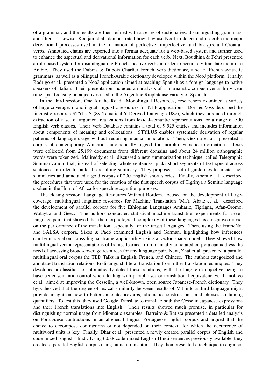of a grammar, and the results are then refined with a series of dictionaries, disambiguating grammars, and filters. Likewise, Kocijan et al. demonstrated how they use NooJ to detect and describe the major derivational processes used in the formation of perfective, imperfective, and bi-aspectual Croatian verbs. Annotated chains are exported into a format adequate for a web-based system and further used to enhance the aspectual and derivational information for each verb. Next, Boudhina & Fehri presented a rule-based system for disambiguating French locative verbs in order to accurately translate them into Arabic. They used the Dubois & Dubois Charlier French Verb dictionary, a set of French syntactic grammars, as well as a bilingual French-Arabic dictionary developed within the NooJ platform. Finally, Rodrigo et al. presented a NooJ application aimed at teaching Spanish as a foreign language to native speakers of Italian. Their presentation included an analysis of a journalistic corpus over a thirty-year time span focusing on adjectives used in the Argentine Rioplatense variety of Spanish.

In the third session, One for the Road: Monolingual Resources, researchers examined a variety of large-coverage, monolingual linguistic resources for NLP applications. Dorr & Voss described the linguistic resource STYLUS (SysTematicallY Derived Language USe), which they produced through extraction of a set of argument realizations from lexical-semantic representations for a range of 500 English verb classes. Their Verb Database contains a total of 9,525 entries and includes information about components of meaning and collocations. STYLUS enables systematic derivation of regular patterns of language usage without requiring manual annotation. Then, Gezmu et al. presented a corpus of contemporary Amharic, automatically tagged for morpho-syntactic information. Texts were collected from 25,199 documents from different domains and about 24 million orthographic words were tokenized. Malireddy et al. discussed a new summarization technique, called Telegraphic Summarization, that, instead of selecting whole sentences, picks short segments of text spread across sentences in order to build the resulting summary. They proposed a set of guidelines to create such summaries and annotated a gold corpus of 200 English short stories. Finally, Abera et al. described the procedures that were used for the creation of the first speech corpus of Tigrinya a Semitic language spoken in the Horn of Africa for speech recognition purposes.

The closing session, Language Resources Without Borders, focused on the development of largecoverage, multilingual linguistic resources for Machine Translation (MT). Abate et al. described the development of parallel corpora for five Ethiopian Languages Amharic, Tigrigna, Afan-Oromo, Wolaytta and Geez. The authors conducted statistical machine translation experiments for seven language pairs that showed that the morphological complexity of these languages has a negative impact on the performance of the translation, especially for the target languages. Then, using the FrameNet and SALSA corpora, Sikos & Padó examined English and German, highlighting how inferences can be made about cross-lingual frame applicability using a vector space model. They showed how multilingual vector representations of frames learned from manually annotated corpora can address the need of accessing broad-coverage resources for any language pair. Next, Zhai et al. presented a parallel multilingual oral corpus the TED Talks in English, French, and Chinese. The authors categorized and annotated translation relations, to distinguish literal translation from other translation techniques. They developed a classifier to automatically detect these relations, with the long-term objective being to have better semantic control when dealing with paraphrases or translational equivalencies. Tomokiyo et al. aimed at improving the Cesselin, a well-known, open source Japanese-French dictionary. They hypothesized that the degree of lexical similarity between results of MT into a third language might provide insight on how to better annotate proverbs, idiomatic constructions, and phrases containing quantifiers. To test this, they used Google Translate to translate both the Cesselin Japanese expressions and their French translations into English. Their results showed much promise, in particular for distinguishing normal usage from idiomatic examples. Barreiro & Batista presented a detailed analysis on Portuguese contractions in an aligned bilingual Portuguese-English corpus and argued that the choice to decompose contractions or not depended on their context, for which the occurrence of multiword units is key. Finally, Dhar et al. presented a newly created parallel corpus of English and code-mixed English-Hindi. Using 6,088 code-mixed English-Hindi sentences previously available, they created a parallel English corpus using human translators. They then presented a technique to augment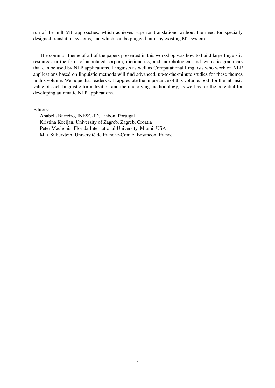run-of-the-mill MT approaches, which achieves superior translations without the need for specially designed translation systems, and which can be plugged into any existing MT system.

The common theme of all of the papers presented in this workshop was how to build large linguistic resources in the form of annotated corpora, dictionaries, and morphological and syntactic grammars that can be used by NLP applications. Linguists as well as Computational Linguists who work on NLP applications based on linguistic methods will find advanced, up-to-the-minute studies for these themes in this volume. We hope that readers will appreciate the importance of this volume, both for the intrinsic value of each linguistic formalization and the underlying methodology, as well as for the potential for developing automatic NLP applications.

Editors:

Anabela Barreiro, INESC-ID, Lisbon, Portugal Kristina Kocijan, University of Zagreb, Zagreb, Croatia Peter Machonis, Florida International University, Miami, USA Max Silberztein, Université de Franche-Comté, Besançon, France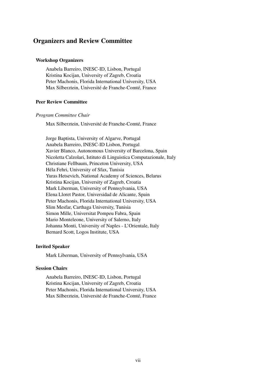### Organizers and Review Committee

### Workshop Organizers

Anabela Barreiro, INESC-ID, Lisbon, Portugal Kristina Kocijan, University of Zagreb, Croatia Peter Machonis, Florida International University, USA Max Silberztein, Université de Franche-Comté, France

### Peer Review Committee

#### *Program Committee Chair*

Max Silberztein, Université de Franche-Comté, France

Jorge Baptista, University of Algarve, Portugal Anabela Barreiro, INESC-ID Lisbon, Portugal Xavier Blanco, Autonomous University of Barcelona, Spain Nicoletta Calzolari, Istituto di Linguistica Computazionale, Italy Christiane Fellbaum, Princeton University, USA Héla Fehri, University of Sfax, Tunisia Yuras Hetsevich, National Academy of Sciences, Belarus Kristina Kocijan, University of Zagreb, Croatia Mark Liberman, University of Pennsylvania, USA Elena Lloret Pastor, Universidad de Alicante, Spain Peter Machonis, Florida International University, USA Slim Mesfar, Carthaga University, Tunisia Simon Mille, Universitat Pompeu Fabra, Spain Mario Monteleone, University of Salerno, Italy Johanna Monti, University of Naples - L'Orientale, Italy Bernard Scott, Logos Institute, USA

### Invited Speaker

Mark Liberman, University of Pennsylvania, USA

### Session Chairs

Anabela Barreiro, INESC-ID, Lisbon, Portugal Kristina Kocijan, University of Zagreb, Croatia Peter Machonis, Florida International University, USA Max Silberztein, Université de Franche-Comté, France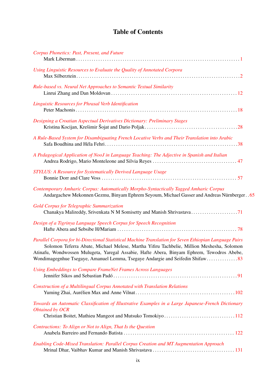# Table of Contents

| Corpus Phonetics: Past, Present, and Future                                                                                                                                                                                                                                                                                                                                        |
|------------------------------------------------------------------------------------------------------------------------------------------------------------------------------------------------------------------------------------------------------------------------------------------------------------------------------------------------------------------------------------|
| Using Linguistic Resources to Evaluate the Quality of Annotated Corpora                                                                                                                                                                                                                                                                                                            |
| Rule-based vs. Neural Net Approaches to Semantic Textual Similarity                                                                                                                                                                                                                                                                                                                |
| Linguistic Resources for Phrasal Verb Identification                                                                                                                                                                                                                                                                                                                               |
| Designing a Croatian Aspectual Derivatives Dictionary: Preliminary Stages                                                                                                                                                                                                                                                                                                          |
| A Rule-Based System for Disambiguating French Locative Verbs and Their Translation into Arabic                                                                                                                                                                                                                                                                                     |
| A Pedagogical Application of NooJ in Language Teaching: The Adjective in Spanish and Italian                                                                                                                                                                                                                                                                                       |
| STYLUS: A Resource for Systematically Derived Language Usage                                                                                                                                                                                                                                                                                                                       |
| Contemporary Amharic Corpus: Automatically Morpho-Syntactically Tagged Amharic Corpus<br>Andargachew Mekonnen Gezmu, Binyam Ephrem Seyoum, Michael Gasser and Andreas Nürnberger 65                                                                                                                                                                                                |
| <b>Gold Corpus for Telegraphic Summarization</b>                                                                                                                                                                                                                                                                                                                                   |
| Design of a Tigrinya Language Speech Corpus for Speech Recognition                                                                                                                                                                                                                                                                                                                 |
| Parallel Corpora for bi-Directional Statistical Machine Translation for Seven Ethiopian Language Pairs<br>Solomon Teferra Abate, Michael Melese, Martha Yifiru Tachbelie, Million Meshesha, Solomon<br>Atinafu, Wondwossen Mulugeta, Yaregal Assabie, Hafte Abera, Binyam Ephrem, Tewodros Abebe,<br>Wondimagegnhue Tsegaye, Amanuel Lemma, Tsegaye Andargie and Seifedin Shifaw83 |
| <b>Using Embeddings to Compare FrameNet Frames Across Languages</b>                                                                                                                                                                                                                                                                                                                |
| Construction of a Multilingual Corpus Annotated with Translation Relations                                                                                                                                                                                                                                                                                                         |
| Towards an Automatic Classification of Illustrative Examples in a Large Japanese-French Dictionary<br><b>Obtained by OCR</b>                                                                                                                                                                                                                                                       |
| Contractions: To Align or Not to Align, That Is the Question                                                                                                                                                                                                                                                                                                                       |
| Enabling Code-Mixed Translation: Parallel Corpus Creation and MT Augmentation Approach                                                                                                                                                                                                                                                                                             |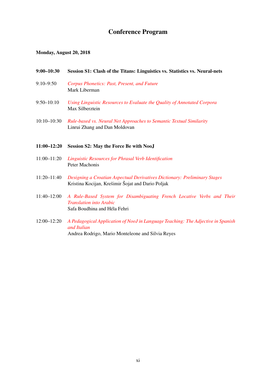# Conference Program

### Monday, August 20, 2018

### 9:00–10:30 Session S1: Clash of the Titans: Linguistics vs. Statistics vs. Neural-nets

- 9:10–9:50 *[Corpus Phonetics: Past, Present, and Future](#page-0-0)* Mark Liberman
- 9:50–10:10 *[Using Linguistic Resources to Evaluate the Quality of Annotated Corpora](#page-0-0)* Max Silberztein
- 10:10–10:30 *[Rule-based vs. Neural Net Approaches to Semantic Textual Similarity](#page-0-0)* Linrui Zhang and Dan Moldovan

### 11:00–12:20 Session S2: May the Force Be with NooJ

- 11:00–11:20 *[Linguistic Resources for Phrasal Verb Identification](#page-0-0)* Peter Machonis
- 11:20–11:40 *[Designing a Croatian Aspectual Derivatives Dictionary: Preliminary Stages](#page-0-0)* Kristina Kocijan, Krešimir Šojat and Dario Poljak
- 11:40–12:00 *[A Rule-Based System for Disambiguating French Locative Verbs and Their](#page-0-0) [Translation into Arabic](#page-0-0)* Safa Boudhina and Héla Fehri
- 12:00–12:20 *[A Pedagogical Application of NooJ in Language Teaching: The Adjective in Spanish](#page-0-0) [and Italian](#page-0-0)* Andrea Rodrigo, Mario Monteleone and Silvia Reyes